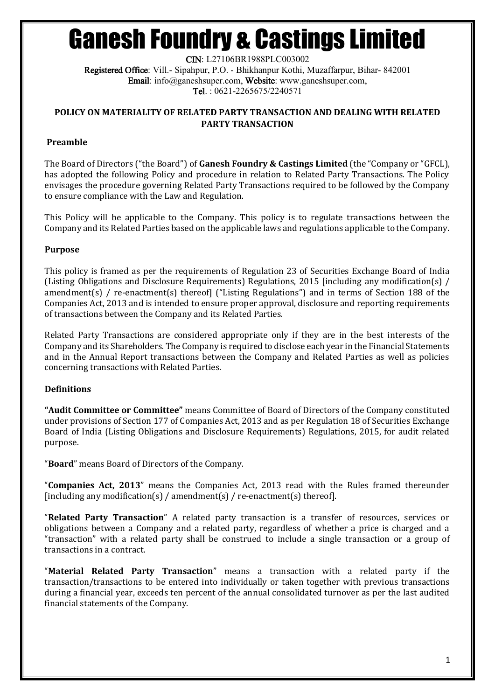CIN: L27106BR1988PLC003002 Registered Office: Vill.- Sipahpur, P.O. - Bhikhanpur Kothi, Muzaffarpur, Bihar- 842001 Email: info@ganeshsuper.com, Website: www.ganeshsuper.com, Tel. : 0621-2265675/2240571

#### **POLICY ON MATERIALITY OF RELATED PARTY TRANSACTION AND DEALING WITH RELATED PARTY TRANSACTION**

#### **Preamble**

The Board of Directors ("the Board") of **Ganesh Foundry & Castings Limited** (the "Company or "GFCL), has adopted the following Policy and procedure in relation to Related Party Transactions. The Policy envisages the procedure governing Related Party Transactions required to be followed by the Company to ensure compliance with the Law and Regulation.

This Policy will be applicable to the Company. This policy is to regulate transactions between the Company and its Related Parties based on the applicable laws and regulations applicable to the Company.

#### **Purpose**

This policy is framed as per the requirements of Regulation 23 of Securities Exchange Board of India (Listing Obligations and Disclosure Requirements) Regulations, 2015 [including any modification(s) / amendment(s) / re-enactment(s) thereof] ("Listing Regulations") and in terms of Section 188 of the Companies Act, 2013 and is intended to ensure proper approval, disclosure and reporting requirements of transactions between the Company and its Related Parties.

Related Party Transactions are considered appropriate only if they are in the best interests of the Company and its Shareholders. The Company is required to disclose each year in the Financial Statements and in the Annual Report transactions between the Company and Related Parties as well as policies concerning transactions with Related Parties.

#### **Definitions**

**"Audit Committee or Committee"** means Committee of Board of Directors of the Company constituted under provisions of Section 177 of Companies Act, 2013 and as per Regulation 18 of Securities Exchange Board of India (Listing Obligations and Disclosure Requirements) Regulations, 2015, for audit related purpose.

"**Board**" means Board of Directors of the Company.

"**Companies Act, 2013**" means the Companies Act, 2013 read with the Rules framed thereunder [including any modification(s) / amendment(s) / re-enactment(s) thereof].

"**Related Party Transaction**" A related party transaction is a transfer of resources, services or obligations between a Company and a related party, regardless of whether a price is charged and a "transaction" with a related party shall be construed to include a single transaction or a group of transactions in a contract.

"**Material Related Party Transaction**" means a transaction with a related party if the transaction/transactions to be entered into individually or taken together with previous transactions during a financial year, exceeds ten percent of the annual consolidated turnover as per the last audited financial statements of the Company.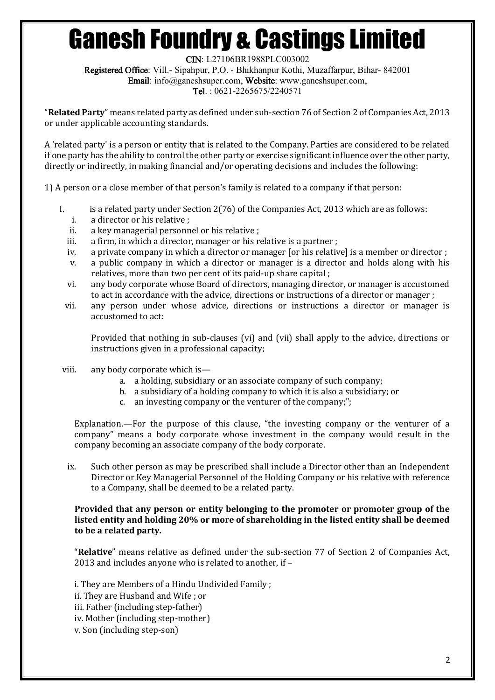CIN: L27106BR1988PLC003002

Registered Office: Vill.- Sipahpur, P.O. - Bhikhanpur Kothi, Muzaffarpur, Bihar- 842001 Email: info@ganeshsuper.com, Website: www.ganeshsuper.com, Tel. : 0621-2265675/2240571

"**Related Party**" means related party as defined under sub-section 76 of Section 2 of Companies Act, 2013 or under applicable accounting standards.

A 'related party' is a person or entity that is related to the Company. Parties are considered to be related if one party has the ability to control the other party or exercise significant influence over the other party, directly or indirectly, in making financial and/or operating decisions and includes the following:

1) A person or a close member of that person's family is related to a company if that person:

- I. is a related party under Section 2(76) of the Companies Act, 2013 which are as follows:
	- i. a director or his relative ;
	- ii. a key managerial personnel or his relative ;
	- iii. a firm, in which a director, manager or his relative is a partner ;
	- iv. a private company in which a director or manager [or his relative] is a member or director ;
	- v. a public company in which a director or manager is a director and holds along with his relatives, more than two per cent of its paid-up share capital ;
	- vi. any body corporate whose Board of directors, managing director, or manager is accustomed to act in accordance with the advice, directions or instructions of a director or manager ;
	- vii. any person under whose advice, directions or instructions a director or manager is accustomed to act:

Provided that nothing in sub-clauses (vi) and (vii) shall apply to the advice, directions or instructions given in a professional capacity;

- viii. any body corporate which is
	- a. a holding, subsidiary or an associate company of such company;
	- b. a subsidiary of a holding company to which it is also a subsidiary; or
	- c. an investing company or the venturer of the company;";

Explanation.—For the purpose of this clause, "the investing company or the venturer of a company" means a body corporate whose investment in the company would result in the company becoming an associate company of the body corporate.

ix. Such other person as may be prescribed shall include a Director other than an Independent Director or Key Managerial Personnel of the Holding Company or his relative with reference to a Company, shall be deemed to be a related party.

**Provided that any person or entity belonging to the promoter or promoter group of the listed entity and holding 20% or more of shareholding in the listed entity shall be deemed to be a related party.** 

"**Relative**" means relative as defined under the sub-section 77 of Section 2 of Companies Act, 2013 and includes anyone who is related to another, if –

i. They are Members of a Hindu Undivided Family ; ii. They are Husband and Wife ; or iii. Father (including step-father) iv. Mother (including step-mother) v. Son (including step-son)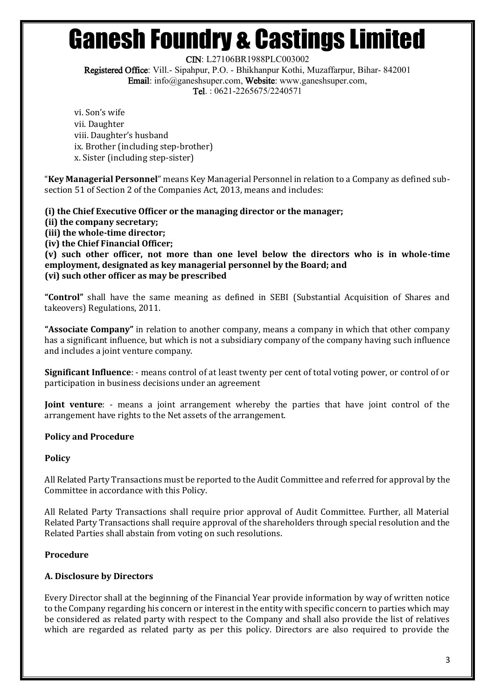CIN: L27106BR1988PLC003002

Registered Office: Vill.- Sipahpur, P.O. - Bhikhanpur Kothi, Muzaffarpur, Bihar- 842001 Email: info@ganeshsuper.com, Website: www.ganeshsuper.com, Tel. : 0621-2265675/2240571

vi. Son's wife vii. Daughter viii. Daughter's husband ix. Brother (including step-brother) x. Sister (including step-sister)

"**Key Managerial Personnel**" means Key Managerial Personnel in relation to a Company as defined subsection 51 of Section 2 of the Companies Act, 2013, means and includes:

**(i) the Chief Executive Officer or the managing director or the manager;** 

**(ii) the company secretary;** 

**(iii) the whole-time director;** 

**(iv) the Chief Financial Officer;** 

**(v) such other officer, not more than one level below the directors who is in whole-time employment, designated as key managerial personnel by the Board; and (vi) such other officer as may be prescribed** 

**"Control"** shall have the same meaning as defined in SEBI (Substantial Acquisition of Shares and takeovers) Regulations, 2011.

**"Associate Company"** in relation to another company, means a company in which that other company has a significant influence, but which is not a subsidiary company of the company having such influence and includes a joint venture company.

**Significant Influence**: - means control of at least twenty per cent of total voting power, or control of or participation in business decisions under an agreement

**Joint venture**: - means a joint arrangement whereby the parties that have joint control of the arrangement have rights to the Net assets of the arrangement.

### **Policy and Procedure**

#### **Policy**

All Related Party Transactions must be reported to the Audit Committee and referred for approval by the Committee in accordance with this Policy.

All Related Party Transactions shall require prior approval of Audit Committee. Further, all Material Related Party Transactions shall require approval of the shareholders through special resolution and the Related Parties shall abstain from voting on such resolutions.

#### **Procedure**

### **A. Disclosure by Directors**

Every Director shall at the beginning of the Financial Year provide information by way of written notice to the Company regarding his concern or interest in the entity with specific concern to parties which may be considered as related party with respect to the Company and shall also provide the list of relatives which are regarded as related party as per this policy. Directors are also required to provide the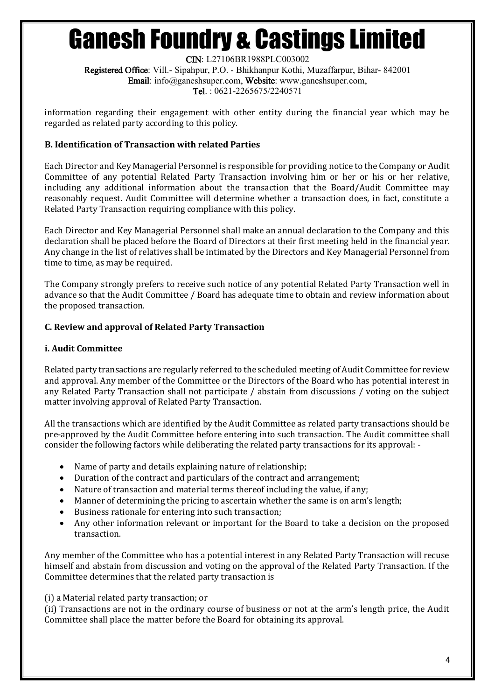CIN: L27106BR1988PLC003002 Registered Office: Vill.- Sipahpur, P.O. - Bhikhanpur Kothi, Muzaffarpur, Bihar- 842001 Email: info@ganeshsuper.com, Website: www.ganeshsuper.com, Tel. : 0621-2265675/2240571

information regarding their engagement with other entity during the financial year which may be regarded as related party according to this policy.

## **B. Identification of Transaction with related Parties**

Each Director and Key Managerial Personnel is responsible for providing notice to the Company or Audit Committee of any potential Related Party Transaction involving him or her or his or her relative, including any additional information about the transaction that the Board/Audit Committee may reasonably request. Audit Committee will determine whether a transaction does, in fact, constitute a Related Party Transaction requiring compliance with this policy.

Each Director and Key Managerial Personnel shall make an annual declaration to the Company and this declaration shall be placed before the Board of Directors at their first meeting held in the financial year. Any change in the list of relatives shall be intimated by the Directors and Key Managerial Personnel from time to time, as may be required.

The Company strongly prefers to receive such notice of any potential Related Party Transaction well in advance so that the Audit Committee / Board has adequate time to obtain and review information about the proposed transaction.

### **C. Review and approval of Related Party Transaction**

## **i. Audit Committee**

Related party transactions are regularly referred to the scheduled meeting of Audit Committee for review and approval. Any member of the Committee or the Directors of the Board who has potential interest in any Related Party Transaction shall not participate / abstain from discussions / voting on the subject matter involving approval of Related Party Transaction.

All the transactions which are identified by the Audit Committee as related party transactions should be pre-approved by the Audit Committee before entering into such transaction. The Audit committee shall consider the following factors while deliberating the related party transactions for its approval: -

- Name of party and details explaining nature of relationship;
- Duration of the contract and particulars of the contract and arrangement;
- Nature of transaction and material terms thereof including the value, if any;
- Manner of determining the pricing to ascertain whether the same is on arm's length;
- Business rationale for entering into such transaction;
- Any other information relevant or important for the Board to take a decision on the proposed transaction.

Any member of the Committee who has a potential interest in any Related Party Transaction will recuse himself and abstain from discussion and voting on the approval of the Related Party Transaction. If the Committee determines that the related party transaction is

#### (i) a Material related party transaction; or

(ii) Transactions are not in the ordinary course of business or not at the arm's length price, the Audit Committee shall place the matter before the Board for obtaining its approval.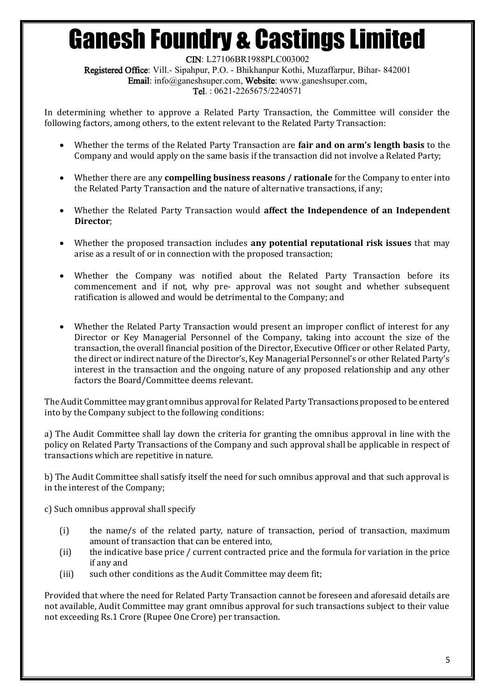CIN: L27106BR1988PLC003002 Registered Office: Vill.- Sipahpur, P.O. - Bhikhanpur Kothi, Muzaffarpur, Bihar- 842001 Email: info@ganeshsuper.com, Website: www.ganeshsuper.com, Tel. : 0621-2265675/2240571

In determining whether to approve a Related Party Transaction, the Committee will consider the following factors, among others, to the extent relevant to the Related Party Transaction:

- Whether the terms of the Related Party Transaction are **fair and on arm's length basis** to the Company and would apply on the same basis if the transaction did not involve a Related Party;
- Whether there are any **compelling business reasons / rationale** for the Company to enter into the Related Party Transaction and the nature of alternative transactions, if any;
- Whether the Related Party Transaction would **affect the Independence of an Independent Director**;
- Whether the proposed transaction includes **any potential reputational risk issues** that may arise as a result of or in connection with the proposed transaction;
- Whether the Company was notified about the Related Party Transaction before its commencement and if not, why pre- approval was not sought and whether subsequent ratification is allowed and would be detrimental to the Company; and
- Whether the Related Party Transaction would present an improper conflict of interest for any Director or Key Managerial Personnel of the Company, taking into account the size of the transaction, the overall financial position of the Director, Executive Officer or other Related Party, the direct or indirect nature of the Director's, Key Managerial Personnel's or other Related Party's interest in the transaction and the ongoing nature of any proposed relationship and any other factors the Board/Committee deems relevant.

The Audit Committee may grant omnibus approval for Related Party Transactions proposed to be entered into by the Company subject to the following conditions:

a) The Audit Committee shall lay down the criteria for granting the omnibus approval in line with the policy on Related Party Transactions of the Company and such approval shall be applicable in respect of transactions which are repetitive in nature.

b) The Audit Committee shall satisfy itself the need for such omnibus approval and that such approval is in the interest of the Company;

c) Such omnibus approval shall specify

- (i) the name/s of the related party, nature of transaction, period of transaction, maximum amount of transaction that can be entered into,
- (ii) the indicative base price / current contracted price and the formula for variation in the price if any and
- (iii) such other conditions as the Audit Committee may deem fit;

Provided that where the need for Related Party Transaction cannot be foreseen and aforesaid details are not available, Audit Committee may grant omnibus approval for such transactions subject to their value not exceeding Rs.1 Crore (Rupee One Crore) per transaction.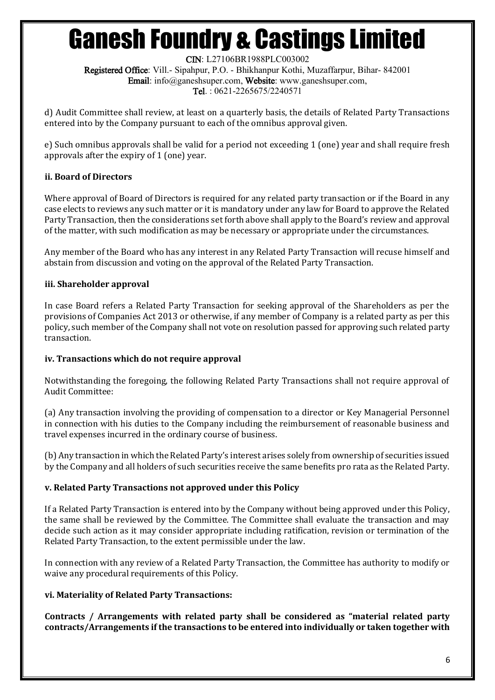CIN: L27106BR1988PLC003002 Registered Office: Vill.- Sipahpur, P.O. - Bhikhanpur Kothi, Muzaffarpur, Bihar- 842001 Email: info@ganeshsuper.com, Website: www.ganeshsuper.com, Tel. : 0621-2265675/2240571

d) Audit Committee shall review, at least on a quarterly basis, the details of Related Party Transactions entered into by the Company pursuant to each of the omnibus approval given.

e) Such omnibus approvals shall be valid for a period not exceeding 1 (one) year and shall require fresh approvals after the expiry of 1 (one) year.

## **ii. Board of Directors**

Where approval of Board of Directors is required for any related party transaction or if the Board in any case elects to reviews any such matter or it is mandatory under any law for Board to approve the Related Party Transaction, then the considerations set forth above shall apply to the Board's review and approval of the matter, with such modification as may be necessary or appropriate under the circumstances.

Any member of the Board who has any interest in any Related Party Transaction will recuse himself and abstain from discussion and voting on the approval of the Related Party Transaction.

### **iii. Shareholder approval**

In case Board refers a Related Party Transaction for seeking approval of the Shareholders as per the provisions of Companies Act 2013 or otherwise, if any member of Company is a related party as per this policy, such member of the Company shall not vote on resolution passed for approving such related party transaction.

### **iv. Transactions which do not require approval**

Notwithstanding the foregoing, the following Related Party Transactions shall not require approval of Audit Committee:

(a) Any transaction involving the providing of compensation to a director or Key Managerial Personnel in connection with his duties to the Company including the reimbursement of reasonable business and travel expenses incurred in the ordinary course of business.

(b) Any transaction in which the Related Party's interest arises solely from ownership of securities issued by the Company and all holders of such securities receive the same benefits pro rata as the Related Party.

### **v. Related Party Transactions not approved under this Policy**

If a Related Party Transaction is entered into by the Company without being approved under this Policy, the same shall be reviewed by the Committee. The Committee shall evaluate the transaction and may decide such action as it may consider appropriate including ratification, revision or termination of the Related Party Transaction, to the extent permissible under the law.

In connection with any review of a Related Party Transaction, the Committee has authority to modify or waive any procedural requirements of this Policy.

### **vi. Materiality of Related Party Transactions:**

**Contracts / Arrangements with related party shall be considered as "material related party contracts/Arrangements if the transactions to be entered into individually or taken together with**